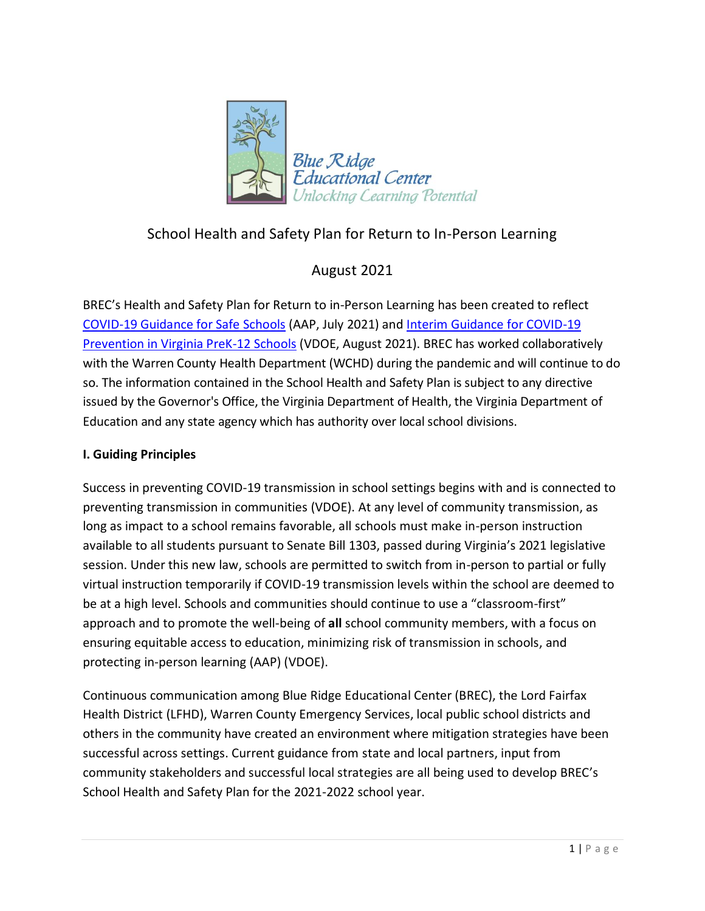

# School Health and Safety Plan for Return to In-Person Learning

## August 2021

BREC's Health and Safety Plan for Return to in-Person Learning has been created to reflect [COVID-19 Guidance for Safe Schools](https://services.aap.org/en/pages/2019-novel-coronavirus-covid-19-infections/clinical-guidance/covid-19-planning-considerations-return-to-in-person-education-in-schools/) (AAP, July 2021) and [Interim Guidance for COVID-19](https://www.vdh.virginia.gov/content/uploads/sites/182/2021/03/Interim-Guidance-to-K-12-School-Reopening.pdf)  [Prevention in Virginia PreK-12 Schools](https://www.vdh.virginia.gov/content/uploads/sites/182/2021/03/Interim-Guidance-to-K-12-School-Reopening.pdf) (VDOE, August 2021). BREC has worked collaboratively with the Warren County Health Department (WCHD) during the pandemic and will continue to do so. The information contained in the School Health and Safety Plan is subject to any directive issued by the Governor's Office, the Virginia Department of Health, the Virginia Department of Education and any state agency which has authority over local school divisions.

## **I. Guiding Principles**

Success in preventing COVID-19 transmission in school settings begins with and is connected to preventing transmission in communities (VDOE). At any level of community transmission, as long as impact to a school remains favorable, all schools must make in-person instruction available to all students pursuant to Senate Bill 1303, passed during Virginia's 2021 legislative session. Under this new law, schools are permitted to switch from in-person to partial or fully virtual instruction temporarily if COVID-19 transmission levels within the school are deemed to be at a high level. Schools and communities should continue to use a "classroom-first" approach and to promote the well-being of **all** school community members, with a focus on ensuring equitable access to education, minimizing risk of transmission in schools, and protecting in-person learning (AAP) (VDOE).

Continuous communication among Blue Ridge Educational Center (BREC), the Lord Fairfax Health District (LFHD), Warren County Emergency Services, local public school districts and others in the community have created an environment where mitigation strategies have been successful across settings. Current guidance from state and local partners, input from community stakeholders and successful local strategies are all being used to develop BREC's School Health and Safety Plan for the 2021-2022 school year.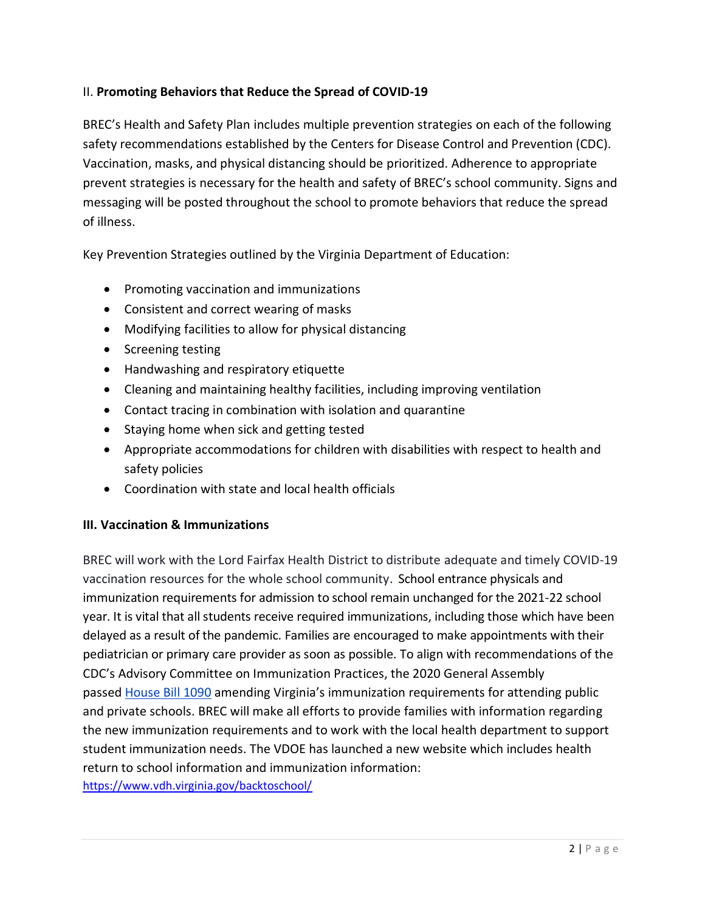### II. **Promoting Behaviors that Reduce the Spread of COVID-19**

BREC's Health and Safety Plan includes multiple prevention strategies on each of the following safety recommendations established by the Centers for Disease Control and Prevention (CDC). Vaccination, masks, and physical distancing should be prioritized. Adherence to appropriate prevent strategies is necessary for the health and safety of BREC's school community. Signs and messaging will be posted throughout the school to promote behaviors that reduce the spread of illness.

Key Prevention Strategies outlined by the Virginia Department of Education:

- Promoting vaccination and immunizations
- Consistent and correct wearing of masks
- Modifying facilities to allow for physical distancing
- Screening testing
- Handwashing and respiratory etiquette
- Cleaning and maintaining healthy facilities, including improving ventilation
- Contact tracing in combination with isolation and quarantine
- Staying home when sick and getting tested
- Appropriate accommodations for children with disabilities with respect to health and safety policies
- Coordination with state and local health officials

### **III. Vaccination & Immunizations**

BREC will work with the Lord Fairfax Health District to distribute adequate and timely COVID-19 vaccination resources for the whole school community. School entrance physicals and immunization requirements for admission to school remain unchanged for the 2021-22 school year. It is vital that all students receive required immunizations, including those which have been delayed as a result of the pandemic. Families are encouraged to make appointments with their pediatrician or primary care provider as soon as possible. To align with recommendations of the CDC's Advisory Committee on Immunization Practices, the 2020 General Assembly passed [House Bill 1090](https://lnks.gd/l/eyJhbGciOiJIUzI1NiJ9.eyJidWxsZXRpbl9saW5rX2lkIjoxMDIsInVyaSI6ImJwMjpjbGljayIsImJ1bGxldGluX2lkIjoiMjAyMTA3MTkuNDM0MTA2MzEiLCJ1cmwiOiJodHRwczovL2xpcy52aXJnaW5pYS5nb3YvY2dpLWJpbi9sZWdwNjA0LmV4ZT8yMDErZnVsK0NIQVAxMjIzIn0.d8G7YoNbKb07c0-HZjJothDJlS4H6AAlSdEhCkCZICI/s/1016887535/br/109529919086-l) amending Virginia's immunization requirements for attending public and private schools. BREC will make all efforts to provide families with information regarding the new immunization requirements and to work with the local health department to support student immunization needs. The VDOE has launched a new website which includes health return to school information and immunization information: <https://www.vdh.virginia.gov/backtoschool/>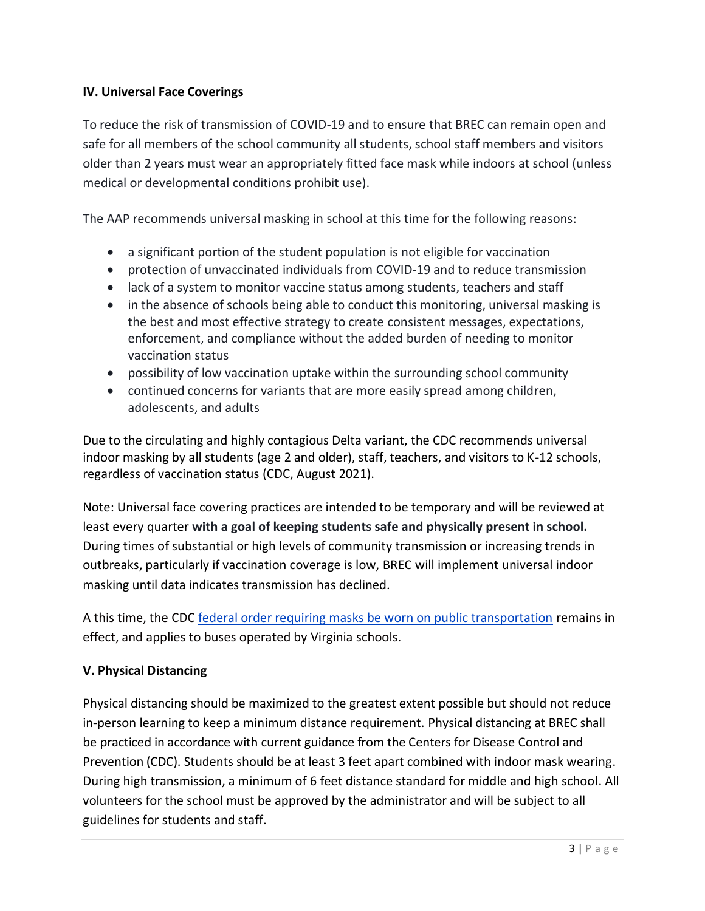### **IV. Universal Face Coverings**

To reduce the risk of transmission of COVID-19 and to ensure that BREC can remain open and safe for all members of the school community all students, school staff members and visitors older than 2 years must wear an appropriately fitted face mask while indoors at school (unless medical or developmental conditions prohibit use).

The AAP recommends universal masking in school at this time for the following reasons:

- a significant portion of the student population is not eligible for vaccination
- protection of unvaccinated individuals from COVID-19 and to reduce transmission
- lack of a system to monitor vaccine status among students, teachers and staff
- in the absence of schools being able to conduct this monitoring, universal masking is the best and most effective strategy to create consistent messages, expectations, enforcement, and compliance without the added burden of needing to monitor vaccination status
- possibility of low vaccination uptake within the surrounding school community
- continued concerns for variants that are more easily spread among children, adolescents, and adults

Due to the circulating and highly contagious Delta variant, the CDC recommends universal indoor masking by all students (age 2 and older), staff, teachers, and visitors to K-12 schools, regardless of vaccination status (CDC, August 2021).

Note: Universal face covering practices are intended to be temporary and will be reviewed at least every quarter **with a goal of keeping students safe and physically present in school.** During times of substantial or high levels of community transmission or increasing trends in outbreaks, particularly if vaccination coverage is low, BREC will implement universal indoor masking until data indicates transmission has declined.

A this time, the CDC [federal order requiring masks be worn on public transportation](https://lnks.gd/l/eyJhbGciOiJIUzI1NiJ9.eyJidWxsZXRpbl9saW5rX2lkIjoxMDYsInVyaSI6ImJwMjpjbGljayIsImJ1bGxldGluX2lkIjoiMjAyMTA3MjEuNDM1MDg2MjEiLCJ1cmwiOiJodHRwczovL3d3dy5jZGMuZ292L3F1YXJhbnRpbmUvbWFza3MvbWFzay10cmF2ZWwtZ3VpZGFuY2UuaHRtbCJ9.icJexQAxauUSgiQiC9nIGj_o54dWrZeHi0iwBQbDGa4/s/1016887535/br/109699405796-l) remains in effect, and applies to buses operated by Virginia schools.

### **V. Physical Distancing**

Physical distancing should be maximized to the greatest extent possible but should not reduce in-person learning to keep a minimum distance requirement. Physical distancing at BREC shall be practiced in accordance with current guidance from the Centers for Disease Control and Prevention (CDC). Students should be at least 3 feet apart combined with indoor mask wearing. During high transmission, a minimum of 6 feet distance standard for middle and high school. All volunteers for the school must be approved by the administrator and will be subject to all guidelines for students and staff.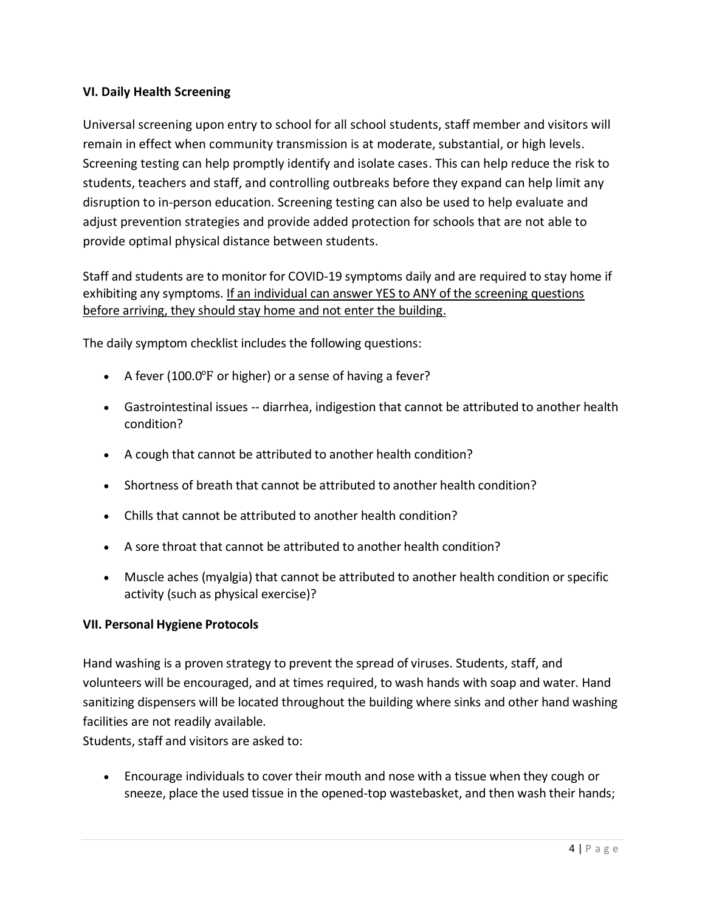### **VI. Daily Health Screening**

Universal screening upon entry to school for all school students, staff member and visitors will remain in effect when community transmission is at moderate, substantial, or high levels. Screening testing can help promptly identify and isolate cases. This can help reduce the risk to students, teachers and staff, and controlling outbreaks before they expand can help limit any disruption to in-person education. Screening testing can also be used to help evaluate and adjust prevention strategies and provide added protection for schools that are not able to provide optimal physical distance between students.

Staff and students are to monitor for COVID-19 symptoms daily and are required to stay home if exhibiting any symptoms. If an individual can answer YES to ANY of the screening questions before arriving, they should stay home and not enter the building.

The daily symptom checklist includes the following questions:

- A fever (100.0 $\degree$ F or higher) or a sense of having a fever?
- Gastrointestinal issues -- diarrhea, indigestion that cannot be attributed to another health condition?
- A cough that cannot be attributed to another health condition?
- Shortness of breath that cannot be attributed to another health condition?
- Chills that cannot be attributed to another health condition?
- A sore throat that cannot be attributed to another health condition?
- Muscle aches (myalgia) that cannot be attributed to another health condition or specific activity (such as physical exercise)?

#### **VII. Personal Hygiene Protocols**

Hand washing is a proven strategy to prevent the spread of viruses. Students, staff, and volunteers will be encouraged, and at times required, to wash hands with soap and water. Hand sanitizing dispensers will be located throughout the building where sinks and other hand washing facilities are not readily available.

Students, staff and visitors are asked to:

• Encourage individuals to cover their mouth and nose with a tissue when they cough or sneeze, place the used tissue in the opened-top wastebasket, and then wash their hands;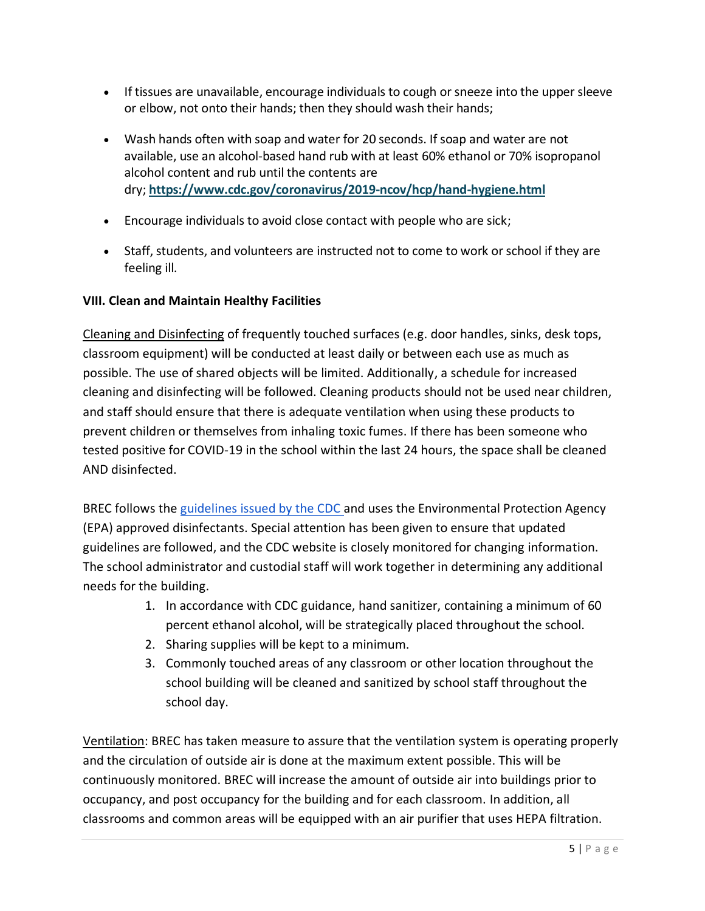- If tissues are unavailable, encourage individuals to cough or sneeze into the upper sleeve or elbow, not onto their hands; then they should wash their hands;
- Wash hands often with soap and water for 20 seconds. If soap and water are not available, use an alcohol-based hand rub with at least 60% ethanol or 70% isopropanol alcohol content and rub until the contents are dry; **<https://www.cdc.gov/coronavirus/2019-ncov/hcp/hand-hygiene.html>**
- Encourage individuals to avoid close contact with people who are sick;
- Staff, students, and volunteers are instructed not to come to work or school if they are feeling ill.

#### **VIII. Clean and Maintain Healthy Facilities**

Cleaning and Disinfecting of frequently touched surfaces (e.g. door handles, sinks, desk tops, classroom equipment) will be conducted at least daily or between each use as much as possible. The use of shared objects will be limited. Additionally, a schedule for increased cleaning and disinfecting will be followed. Cleaning products should not be used near children, and staff should ensure that there is adequate ventilation when using these products to prevent children or themselves from inhaling toxic fumes. If there has been someone who tested positive for COVID-19 in the school within the last 24 hours, the space shall be cleaned AND disinfected.

BREC follows the [guidelines issued by the CDC a](https://www.cdc.gov/coronavirus/2019-ncov/community/reopen-guidance.html)nd uses the Environmental Protection Agency (EPA) approved disinfectants. Special attention has been given to ensure that updated guidelines are followed, and the CDC website is closely monitored for changing information. The school administrator and custodial staff will work together in determining any additional needs for the building.

- 1. In accordance with CDC guidance, hand sanitizer, containing a minimum of 60 percent ethanol alcohol, will be strategically placed throughout the school.
- 2. Sharing supplies will be kept to a minimum.
- 3. Commonly touched areas of any classroom or other location throughout the school building will be cleaned and sanitized by school staff throughout the school day.

Ventilation: BREC has taken measure to assure that the ventilation system is operating properly and the circulation of outside air is done at the maximum extent possible. This will be continuously monitored. BREC will increase the amount of outside air into buildings prior to occupancy, and post occupancy for the building and for each classroom. In addition, all classrooms and common areas will be equipped with an air purifier that uses HEPA filtration.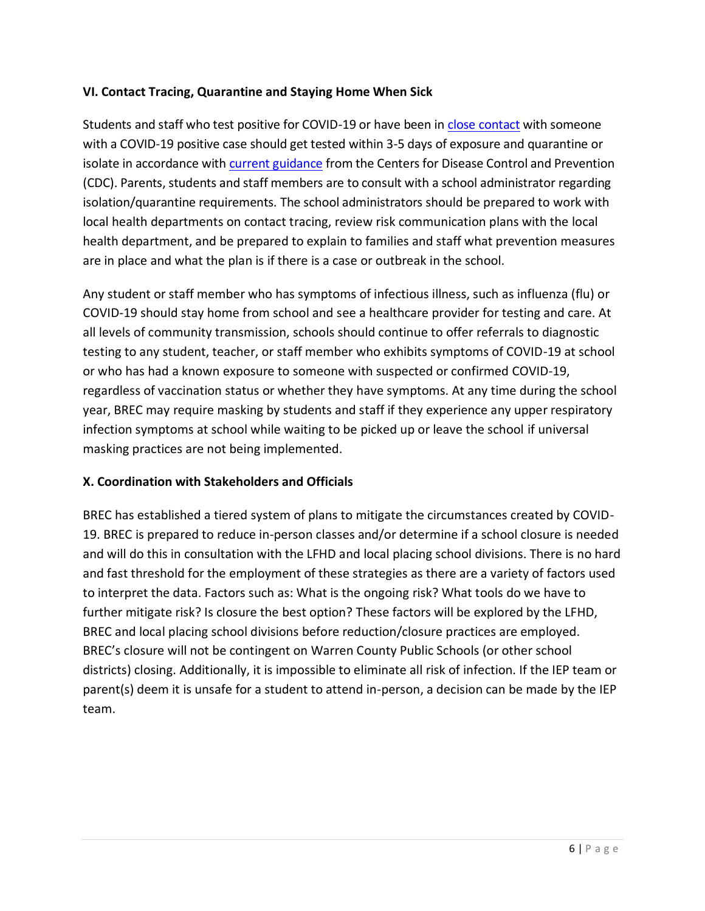### **VI. Contact Tracing, Quarantine and Staying Home When Sick**

Students and staff who test positive for COVID-19 or have been i[n close contact](https://www.cdc.gov/coronavirus/2019-ncov/community/schools-childcare/contact-tracing.html) with someone with a COVID-19 positive case should get tested within 3-5 days of exposure and quarantine or isolate in accordance with [current guidance](https://www.cdc.gov/coronavirus/2019-ncov/if-you-are-sick/quarantine.html) from the Centers for Disease Control and Prevention (CDC). Parents, students and staff members are to consult with a school administrator regarding isolation/quarantine requirements. The school administrators should be prepared to work with local health departments on contact tracing, review risk communication plans with the local health department, and be prepared to explain to families and staff what prevention measures are in place and what the plan is if there is a case or outbreak in the school.

Any student or staff member who has symptoms of infectious illness, such as influenza (flu) or COVID-19 should stay home from school and see a healthcare provider for testing and care. At all levels of community transmission, schools should continue to offer referrals to diagnostic testing to any student, teacher, or staff member who exhibits symptoms of COVID-19 at school or who has had a known exposure to someone with suspected or confirmed COVID-19, regardless of vaccination status or whether they have symptoms. At any time during the school year, BREC may require masking by students and staff if they experience any upper respiratory infection symptoms at school while waiting to be picked up or leave the school if universal masking practices are not being implemented.

#### **X. Coordination with Stakeholders and Officials**

BREC has established a tiered system of plans to mitigate the circumstances created by COVID-19. BREC is prepared to reduce in-person classes and/or determine if a school closure is needed and will do this in consultation with the LFHD and local placing school divisions. There is no hard and fast threshold for the employment of these strategies as there are a variety of factors used to interpret the data. Factors such as: What is the ongoing risk? What tools do we have to further mitigate risk? Is closure the best option? These factors will be explored by the LFHD, BREC and local placing school divisions before reduction/closure practices are employed. BREC's closure will not be contingent on Warren County Public Schools (or other school districts) closing. Additionally, it is impossible to eliminate all risk of infection. If the IEP team or parent(s) deem it is unsafe for a student to attend in-person, a decision can be made by the IEP team.